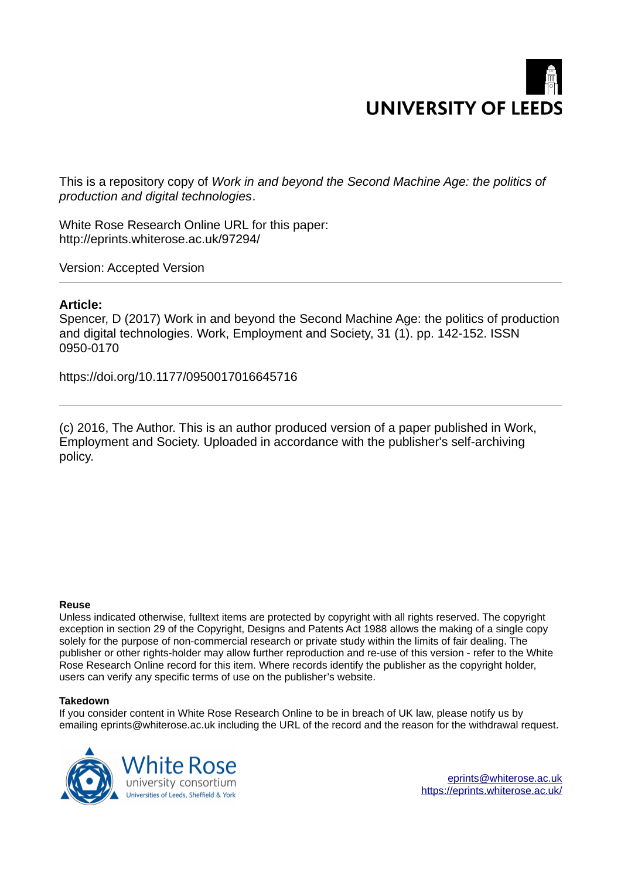# **UNIVERSITY OF LEEDS**

This is a repository copy of *Work in and beyond the Second Machine Age: the politics of production and digital technologies*.

White Rose Research Online URL for this paper: http://eprints.whiterose.ac.uk/97294/

Version: Accepted Version

# **Article:**

Spencer, D (2017) Work in and beyond the Second Machine Age: the politics of production and digital technologies. Work, Employment and Society, 31 (1). pp. 142-152. ISSN 0950-0170

https://doi.org/10.1177/0950017016645716

(c) 2016, The Author. This is an author produced version of a paper published in Work, Employment and Society. Uploaded in accordance with the publisher's self-archiving policy.

#### **Reuse**

Unless indicated otherwise, fulltext items are protected by copyright with all rights reserved. The copyright exception in section 29 of the Copyright, Designs and Patents Act 1988 allows the making of a single copy solely for the purpose of non-commercial research or private study within the limits of fair dealing. The publisher or other rights-holder may allow further reproduction and re-use of this version - refer to the White Rose Research Online record for this item. Where records identify the publisher as the copyright holder, users can verify any specific terms of use on the publisher's website.

# **Takedown**

If you consider content in White Rose Research Online to be in breach of UK law, please notify us by emailing eprints@whiterose.ac.uk including the URL of the record and the reason for the withdrawal request.

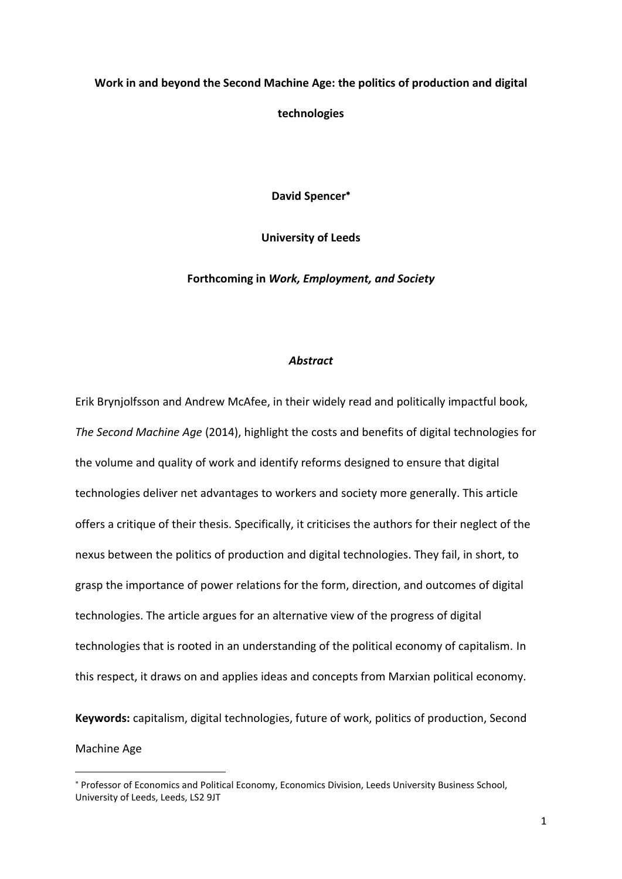# **Work in and beyond the Second Machine Age: the politics of production and digital**

**technologies** 

**David Spencer**

**University of Leeds** 

**Forthcoming in** *Work, Employment, and Society*

#### *Abstract*

Erik Brynjolfsson and Andrew McAfee, in their widely read and politically impactful book, *The Second Machine Age* (2014), highlight the costs and benefits of digital technologies for the volume and quality of work and identify reforms designed to ensure that digital technologies deliver net advantages to workers and society more generally. This article offers a critique of their thesis. Specifically, it criticises the authors for their neglect of the nexus between the politics of production and digital technologies. They fail, in short, to grasp the importance of power relations for the form, direction, and outcomes of digital technologies. The article argues for an alternative view of the progress of digital technologies that is rooted in an understanding of the political economy of capitalism. In this respect, it draws on and applies ideas and concepts from Marxian political economy.

**Keywords:** capitalism, digital technologies, future of work, politics of production, Second Machine Age

-

<sup>\*</sup> Professor of Economics and Political Economy, Economics Division, Leeds University Business School, University of Leeds, Leeds, LS2 9JT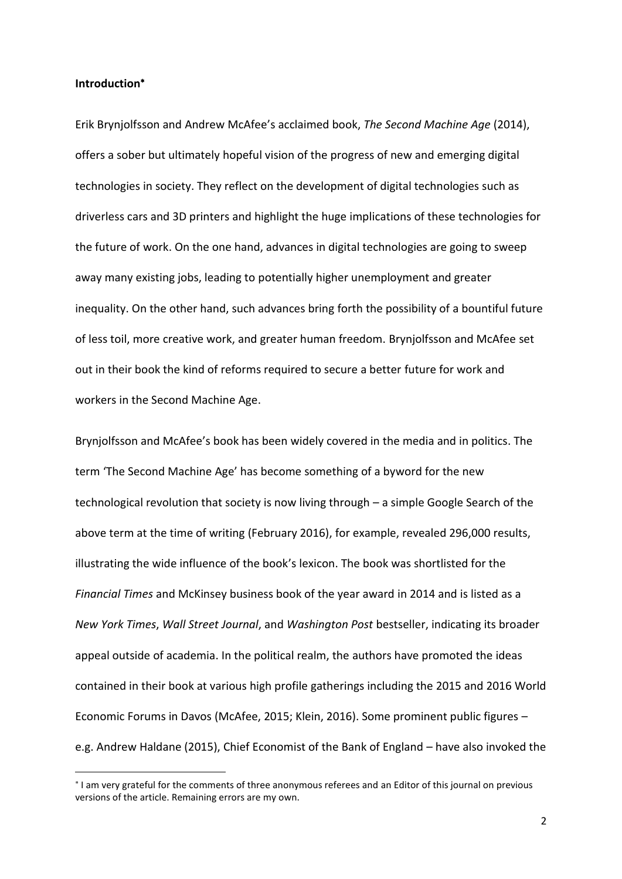#### **Introduction**

-

Erik Brynjolfsson and Andrew McAfee's acclaimed book, *The Second Machine Age* (2014), offers a sober but ultimately hopeful vision of the progress of new and emerging digital technologies in society. They reflect on the development of digital technologies such as driverless cars and 3D printers and highlight the huge implications of these technologies for the future of work. On the one hand, advances in digital technologies are going to sweep away many existing jobs, leading to potentially higher unemployment and greater inequality. On the other hand, such advances bring forth the possibility of a bountiful future of less toil, more creative work, and greater human freedom. Brynjolfsson and McAfee set out in their book the kind of reforms required to secure a better future for work and workers in the Second Machine Age.

Brynjolfsson and McAfee's book has been widely covered in the media and in politics. The term 'The Second Machine Age' has become something of a byword for the new technological revolution that society is now living through - a simple Google Search of the above term at the time of writing (February 2016), for example, revealed 296,000 results, illustrating the wide influence of the book's lexicon. The book was shortlisted for the *Financial Times* and McKinsey business book of the year award in 2014 and is listed as a *New York Times*, *Wall Street Journal*, and *Washington Post* bestseller, indicating its broader appeal outside of academia. In the political realm, the authors have promoted the ideas contained in their book at various high profile gatherings including the 2015 and 2016 World Economic Forums in Davos (McAfee, 2015; Klein, 2016). Some prominent public figures e.g. Andrew Haldane (2015), Chief Economist of the Bank of England - have also invoked the

<sup>\*</sup>I am very grateful for the comments of three anonymous referees and an Editor of this journal on previous versions of the article. Remaining errors are my own.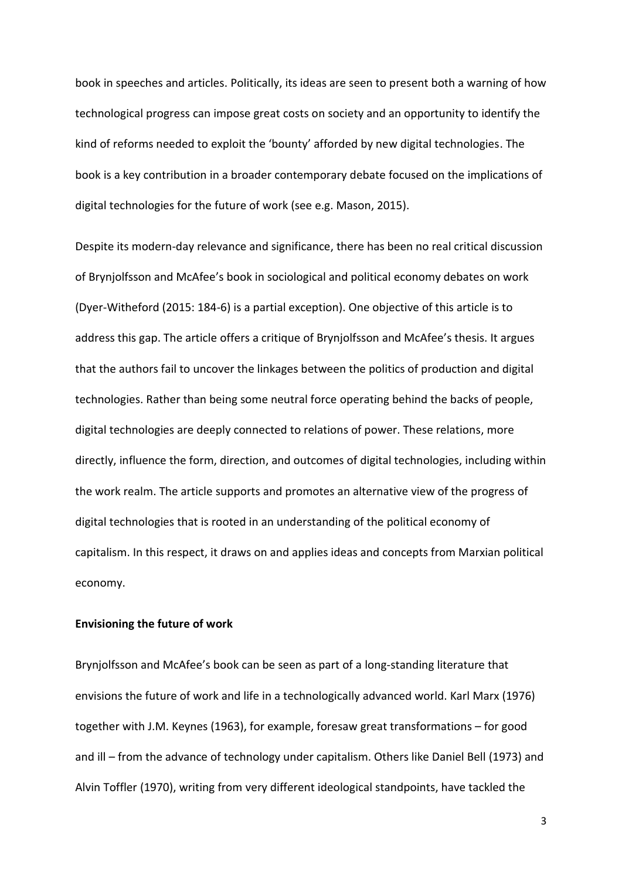book in speeches and articles. Politically, its ideas are seen to present both a warning of how technological progress can impose great costs on society and an opportunity to identify the kind of reforms needed to exploit the 'bounty' afforded by new digital technologies. The book is a key contribution in a broader contemporary debate focused on the implications of digital technologies for the future of work (see e.g. Mason, 2015).

Despite its modern-day relevance and significance, there has been no real critical discussion of Brynjolfsson and McAfee's book in sociological and political economy debates on work (Dyer-Witheford (2015: 184-6) is a partial exception). One objective of this article is to address this gap. The article offers a critique of Brynjolfsson and McAfee's thesis. It argues that the authors fail to uncover the linkages between the politics of production and digital technologies. Rather than being some neutral force operating behind the backs of people, digital technologies are deeply connected to relations of power. These relations, more directly, influence the form, direction, and outcomes of digital technologies, including within the work realm. The article supports and promotes an alternative view of the progress of digital technologies that is rooted in an understanding of the political economy of capitalism. In this respect, it draws on and applies ideas and concepts from Marxian political economy.

#### **Envisioning the future of work**

Brynjolfsson and McAfee's book can be seen as part of a long-standing literature that envisions the future of work and life in a technologically advanced world. Karl Marx (1976) together with J.M. Keynes (1963), for example, foresaw great transformations  $-$  for good and ill – from the advance of technology under capitalism. Others like Daniel Bell (1973) and Alvin Toffler (1970), writing from very different ideological standpoints, have tackled the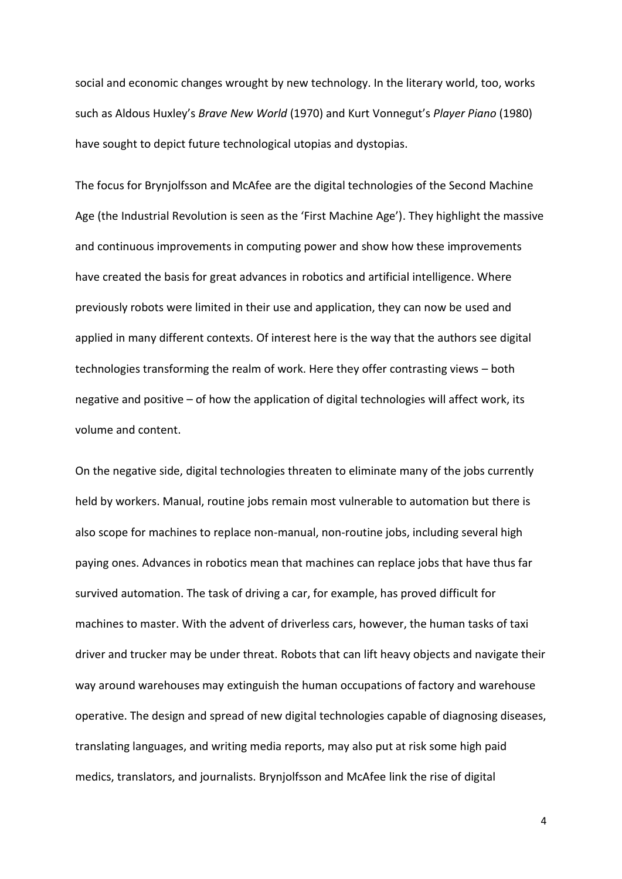social and economic changes wrought by new technology. In the literary world, too, works such as Aldous Huxley's *Brave New World* (1970) and Kurt Vonnegut's *Player Piano* (1980) have sought to depict future technological utopias and dystopias.

The focus for Brynjolfsson and McAfee are the digital technologies of the Second Machine Age (the Industrial Revolution is seen as the 'First Machine Age'). They highlight the massive and continuous improvements in computing power and show how these improvements have created the basis for great advances in robotics and artificial intelligence. Where previously robots were limited in their use and application, they can now be used and applied in many different contexts. Of interest here is the way that the authors see digital technologies transforming the realm of work. Here they offer contrasting views – both negative and positive  $-$  of how the application of digital technologies will affect work, its volume and content.

On the negative side, digital technologies threaten to eliminate many of the jobs currently held by workers. Manual, routine jobs remain most vulnerable to automation but there is also scope for machines to replace non-manual, non-routine jobs, including several high paying ones. Advances in robotics mean that machines can replace jobs that have thus far survived automation. The task of driving a car, for example, has proved difficult for machines to master. With the advent of driverless cars, however, the human tasks of taxi driver and trucker may be under threat. Robots that can lift heavy objects and navigate their way around warehouses may extinguish the human occupations of factory and warehouse operative. The design and spread of new digital technologies capable of diagnosing diseases, translating languages, and writing media reports, may also put at risk some high paid medics, translators, and journalists. Brynjolfsson and McAfee link the rise of digital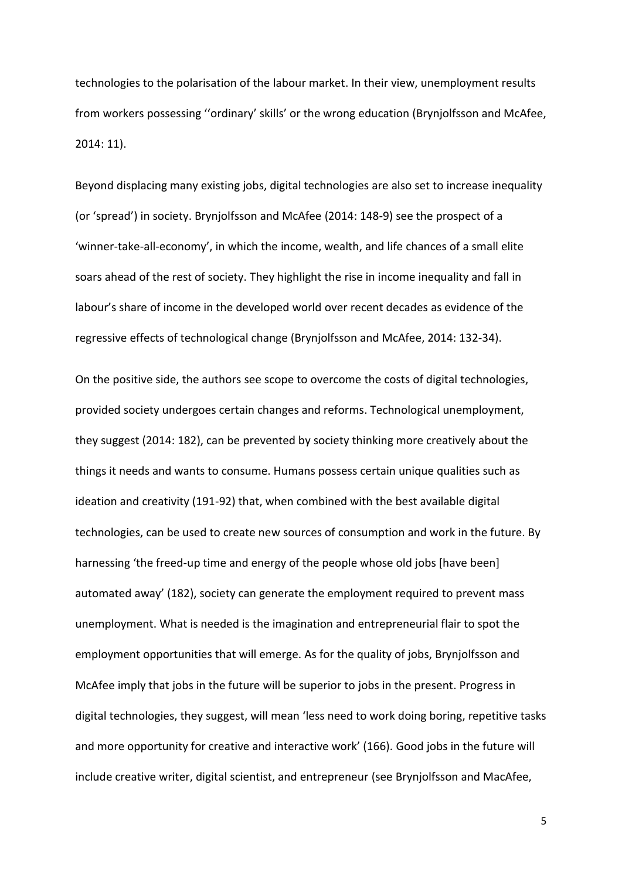technologies to the polarisation of the labour market. In their view, unemployment results from workers possessing "ordinary' skills' or the wrong education (Brynjolfsson and McAfee, 2014: 11).

Beyond displacing many existing jobs, digital technologies are also set to increase inequality (or 'spread') in society. Brynjolfsson and McAfee (2014: 148-9) see the prospect of a 'winner-take-all-economy', in which the income, wealth, and life chances of a small elite soars ahead of the rest of society. They highlight the rise in income inequality and fall in labour's share of income in the developed world over recent decades as evidence of the regressive effects of technological change (Brynjolfsson and McAfee, 2014: 132-34).

On the positive side, the authors see scope to overcome the costs of digital technologies, provided society undergoes certain changes and reforms. Technological unemployment, they suggest (2014: 182), can be prevented by society thinking more creatively about the things it needs and wants to consume. Humans possess certain unique qualities such as ideation and creativity (191-92) that, when combined with the best available digital technologies, can be used to create new sources of consumption and work in the future. By harnessing 'the freed-up time and energy of the people whose old jobs [have been] automated away' (182), society can generate the employment required to prevent mass unemployment. What is needed is the imagination and entrepreneurial flair to spot the employment opportunities that will emerge. As for the quality of jobs, Brynjolfsson and McAfee imply that jobs in the future will be superior to jobs in the present. Progress in digital technologies, they suggest, will mean 'less need to work doing boring, repetitive tasks and more opportunity for creative and interactive work' (166). Good jobs in the future will include creative writer, digital scientist, and entrepreneur (see Brynjolfsson and MacAfee,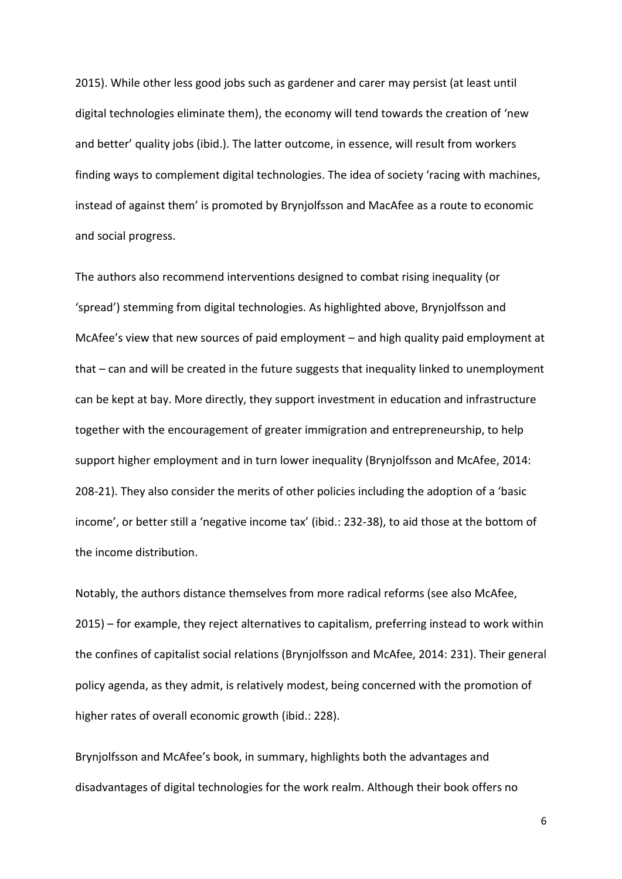2015). While other less good jobs such as gardener and carer may persist (at least until digital technologies eliminate them), the economy will tend towards the creation of 'new and better' quality jobs (ibid.). The latter outcome, in essence, will result from workers finding ways to complement digital technologies. The idea of society 'racing with machines, instead of against them' is promoted by Brynjolfsson and MacAfee as a route to economic and social progress.

The authors also recommend interventions designed to combat rising inequality (or 'spread') stemming from digital technologies. As highlighted above, Brynjolfsson and McAfee's view that new sources of paid employment  $-$  and high quality paid employment at that  $-$  can and will be created in the future suggests that inequality linked to unemployment can be kept at bay. More directly, they support investment in education and infrastructure together with the encouragement of greater immigration and entrepreneurship, to help support higher employment and in turn lower inequality (Brynjolfsson and McAfee, 2014: 208-21). They also consider the merits of other policies including the adoption of a 'basic income', or better still a 'negative income tax' (ibid.: 232-38), to aid those at the bottom of the income distribution.

Notably, the authors distance themselves from more radical reforms (see also McAfee,  $2015$ ) – for example, they reject alternatives to capitalism, preferring instead to work within the confines of capitalist social relations (Brynjolfsson and McAfee, 2014: 231). Their general policy agenda, as they admit, is relatively modest, being concerned with the promotion of higher rates of overall economic growth (ibid.: 228).

Brynjolfsson and McAfee's book, in summary, highlights both the advantages and disadvantages of digital technologies for the work realm. Although their book offers no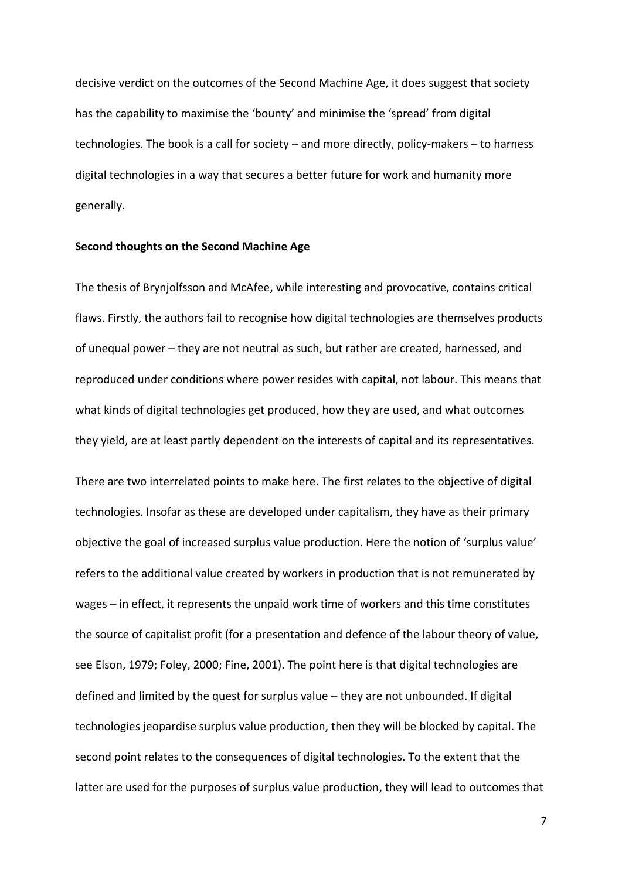decisive verdict on the outcomes of the Second Machine Age, it does suggest that society has the capability to maximise the 'bounty' and minimise the 'spread' from digital technologies. The book is a call for society  $-$  and more directly, policy-makers  $-$  to harness digital technologies in a way that secures a better future for work and humanity more generally.

## **Second thoughts on the Second Machine Age**

The thesis of Brynjolfsson and McAfee, while interesting and provocative, contains critical flaws. Firstly, the authors fail to recognise how digital technologies are themselves products of unequal power – they are not neutral as such, but rather are created, harnessed, and reproduced under conditions where power resides with capital, not labour. This means that what kinds of digital technologies get produced, how they are used, and what outcomes they yield, are at least partly dependent on the interests of capital and its representatives.

There are two interrelated points to make here. The first relates to the objective of digital technologies. Insofar as these are developed under capitalism, they have as their primary objective the goal of increased surplus value production. Here the notion of 'surplus value' refers to the additional value created by workers in production that is not remunerated by wages – in effect, it represents the unpaid work time of workers and this time constitutes the source of capitalist profit (for a presentation and defence of the labour theory of value, see Elson, 1979; Foley, 2000; Fine, 2001). The point here is that digital technologies are defined and limited by the quest for surplus value  $-$  they are not unbounded. If digital technologies jeopardise surplus value production, then they will be blocked by capital. The second point relates to the consequences of digital technologies. To the extent that the latter are used for the purposes of surplus value production, they will lead to outcomes that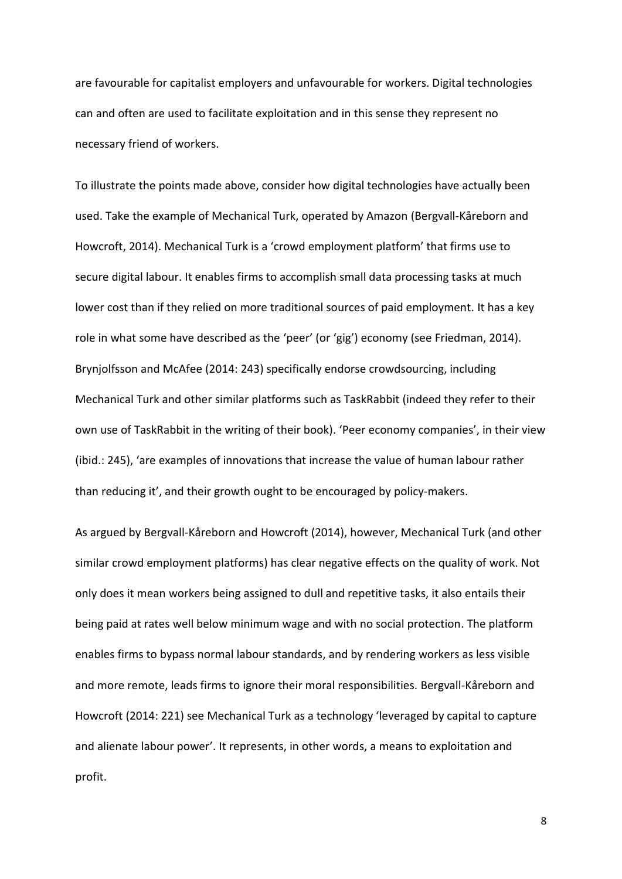are favourable for capitalist employers and unfavourable for workers. Digital technologies can and often are used to facilitate exploitation and in this sense they represent no necessary friend of workers.

To illustrate the points made above, consider how digital technologies have actually been used. Take the example of Mechanical Turk, operated by Amazon (Bergvall-KÂreborn and Howcroft, 2014). Mechanical Turk is a 'crowd employment platform' that firms use to secure digital labour. It enables firms to accomplish small data processing tasks at much lower cost than if they relied on more traditional sources of paid employment. It has a key role in what some have described as the 'peer' (or 'gig') economy (see Friedman, 2014). Brynjolfsson and McAfee (2014: 243) specifically endorse crowdsourcing, including Mechanical Turk and other similar platforms such as TaskRabbit (indeed they refer to their own use of TaskRabbit in the writing of their book). 'Peer economy companies', in their view (ibid.: 245), 'are examples of innovations that increase the value of human labour rather than reducing it', and their growth ought to be encouraged by policy-makers.

As argued by Bergvall-KÂreborn and Howcroft (2014), however, Mechanical Turk (and other similar crowd employment platforms) has clear negative effects on the quality of work. Not only does it mean workers being assigned to dull and repetitive tasks, it also entails their being paid at rates well below minimum wage and with no social protection. The platform enables firms to bypass normal labour standards, and by rendering workers as less visible and more remote, leads firms to ignore their moral responsibilities. Bergvall-KÂreborn and Howcroft (2014: 221) see Mechanical Turk as a technology 'leveraged by capital to capture and alienate labour power'. It represents, in other words, a means to exploitation and profit.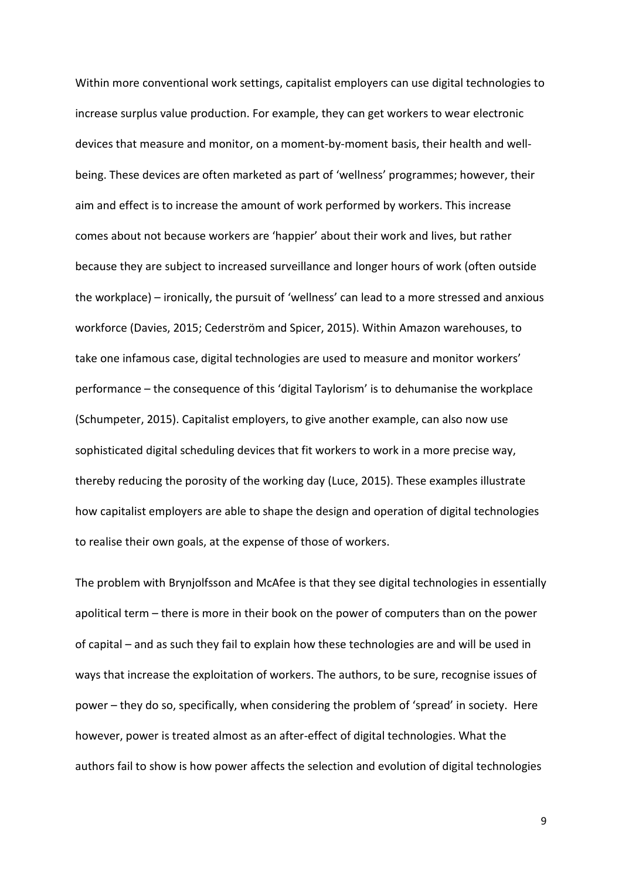Within more conventional work settings, capitalist employers can use digital technologies to increase surplus value production. For example, they can get workers to wear electronic devices that measure and monitor, on a moment-by-moment basis, their health and wellbeing. These devices are often marketed as part of 'wellness' programmes; however, their aim and effect is to increase the amount of work performed by workers. This increase comes about not because workers are 'happier' about their work and lives, but rather because they are subject to increased surveillance and longer hours of work (often outside the workplace) – ironically, the pursuit of 'wellness' can lead to a more stressed and anxious workforce (Davies, 2015; Cederström and Spicer, 2015). Within Amazon warehouses, to take one infamous case, digital technologies are used to measure and monitor workers' performance – the consequence of this 'digital Taylorism' is to dehumanise the workplace (Schumpeter, 2015). Capitalist employers, to give another example, can also now use sophisticated digital scheduling devices that fit workers to work in a more precise way, thereby reducing the porosity of the working day (Luce, 2015). These examples illustrate how capitalist employers are able to shape the design and operation of digital technologies to realise their own goals, at the expense of those of workers.

The problem with Brynjolfsson and McAfee is that they see digital technologies in essentially apolitical term – there is more in their book on the power of computers than on the power of capital – and as such they fail to explain how these technologies are and will be used in ways that increase the exploitation of workers. The authors, to be sure, recognise issues of power – they do so, specifically, when considering the problem of 'spread' in society. Here however, power is treated almost as an after-effect of digital technologies. What the authors fail to show is how power affects the selection and evolution of digital technologies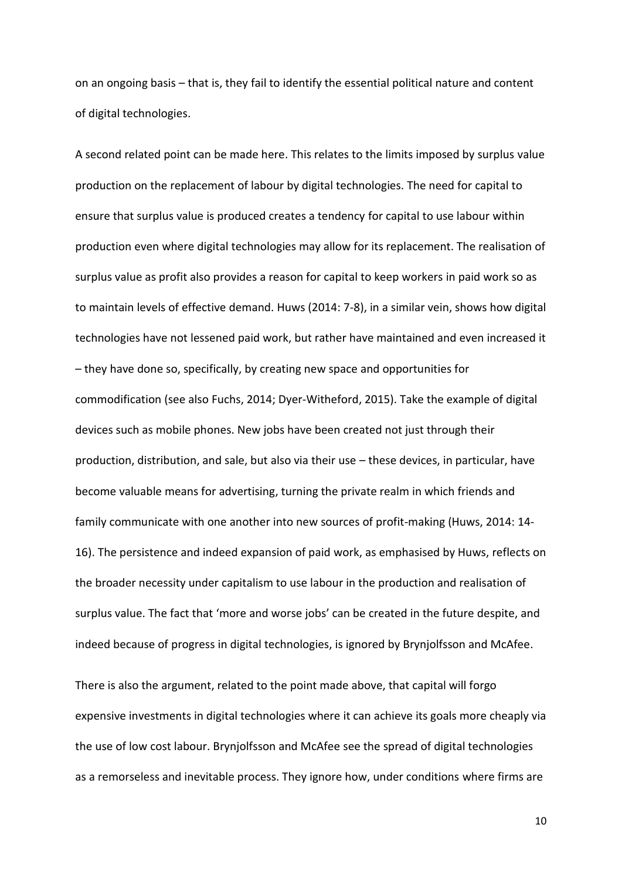on an ongoing basis – that is, they fail to identify the essential political nature and content of digital technologies.

A second related point can be made here. This relates to the limits imposed by surplus value production on the replacement of labour by digital technologies. The need for capital to ensure that surplus value is produced creates a tendency for capital to use labour within production even where digital technologies may allow for its replacement. The realisation of surplus value as profit also provides a reason for capital to keep workers in paid work so as to maintain levels of effective demand. Huws (2014: 7-8), in a similar vein, shows how digital technologies have not lessened paid work, but rather have maintained and even increased it  $-$  they have done so, specifically, by creating new space and opportunities for commodification (see also Fuchs, 2014; Dyer-Witheford, 2015). Take the example of digital devices such as mobile phones. New jobs have been created not just through their production, distribution, and sale, but also via their use  $-$  these devices, in particular, have become valuable means for advertising, turning the private realm in which friends and family communicate with one another into new sources of profit-making (Huws, 2014: 14- 16). The persistence and indeed expansion of paid work, as emphasised by Huws, reflects on the broader necessity under capitalism to use labour in the production and realisation of surplus value. The fact that 'more and worse jobs' can be created in the future despite, and indeed because of progress in digital technologies, is ignored by Brynjolfsson and McAfee.

There is also the argument, related to the point made above, that capital will forgo expensive investments in digital technologies where it can achieve its goals more cheaply via the use of low cost labour. Brynjolfsson and McAfee see the spread of digital technologies as a remorseless and inevitable process. They ignore how, under conditions where firms are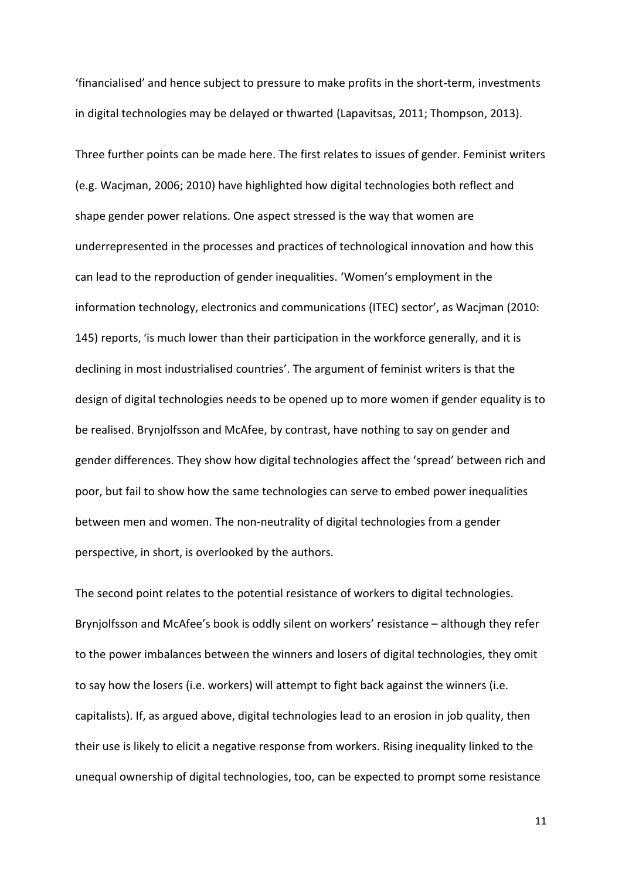'financialised' and hence subject to pressure to make profits in the short-term, investments in digital technologies may be delayed or thwarted (Lapavitsas, 2011; Thompson, 2013).

Three further points can be made here. The first relates to issues of gender. Feminist writers (e.g. Wacjman, 2006; 2010) have highlighted how digital technologies both reflect and shape gender power relations. One aspect stressed is the way that women are underrepresented in the processes and practices of technological innovation and how this can lead to the reproduction of gender inequalities. 'Women's employment in the information technology, electronics and communications (ITEC) sector', as Wacjman (2010: 145) reports, 'is much lower than their participation in the workforce generally, and it is declining in most industrialised countries'. The argument of feminist writers is that the design of digital technologies needs to be opened up to more women if gender equality is to be realised. Brynjolfsson and McAfee, by contrast, have nothing to say on gender and gender differences. They show how digital technologies affect the 'spread' between rich and poor, but fail to show how the same technologies can serve to embed power inequalities between men and women. The non-neutrality of digital technologies from a gender perspective, in short, is overlooked by the authors.

The second point relates to the potential resistance of workers to digital technologies. Bryniolfsson and McAfee's book is oddly silent on workers' resistance – although they refer to the power imbalances between the winners and losers of digital technologies, they omit to say how the losers (i.e. workers) will attempt to fight back against the winners (i.e. capitalists). If, as argued above, digital technologies lead to an erosion in job quality, then their use is likely to elicit a negative response from workers. Rising inequality linked to the unequal ownership of digital technologies, too, can be expected to prompt some resistance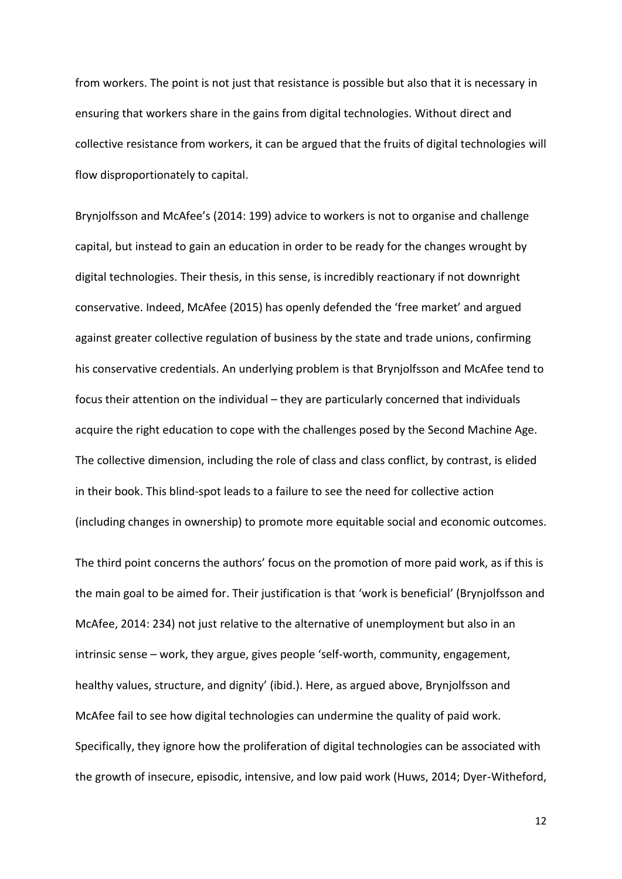from workers. The point is not just that resistance is possible but also that it is necessary in ensuring that workers share in the gains from digital technologies. Without direct and collective resistance from workers, it can be argued that the fruits of digital technologies will flow disproportionately to capital.

Brynjolfsson and McAfee's (2014: 199) advice to workers is not to organise and challenge capital, but instead to gain an education in order to be ready for the changes wrought by digital technologies. Their thesis, in this sense, is incredibly reactionary if not downright conservative. Indeed, McAfee (2015) has openly defended the 'free market' and argued against greater collective regulation of business by the state and trade unions, confirming his conservative credentials. An underlying problem is that Brynjolfsson and McAfee tend to focus their attention on the individual  $-$  they are particularly concerned that individuals acquire the right education to cope with the challenges posed by the Second Machine Age. The collective dimension, including the role of class and class conflict, by contrast, is elided in their book. This blind-spot leads to a failure to see the need for collective action (including changes in ownership) to promote more equitable social and economic outcomes.

The third point concerns the authors' focus on the promotion of more paid work, as if this is the main goal to be aimed for. Their justification is that 'work is beneficial' (Brynjolfsson and McAfee, 2014: 234) not just relative to the alternative of unemployment but also in an intrinsic sense – work, they argue, gives people 'self-worth, community, engagement, healthy values, structure, and dignity' (ibid.). Here, as argued above, Brynjolfsson and McAfee fail to see how digital technologies can undermine the quality of paid work. Specifically, they ignore how the proliferation of digital technologies can be associated with the growth of insecure, episodic, intensive, and low paid work (Huws, 2014; Dyer-Witheford,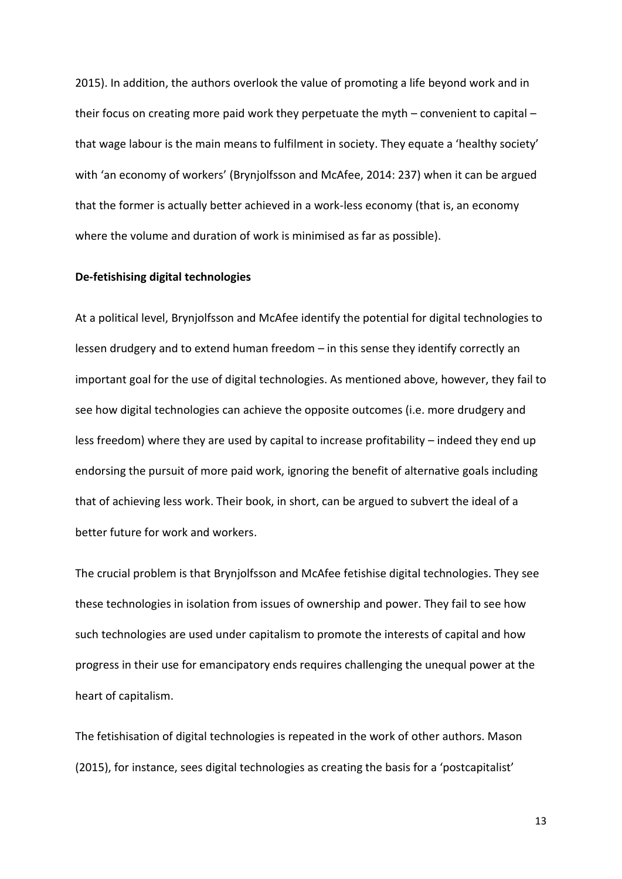2015). In addition, the authors overlook the value of promoting a life beyond work and in their focus on creating more paid work they perpetuate the myth  $-$  convenient to capital  $$ that wage labour is the main means to fulfilment in society. They equate a 'healthy society' with 'an economy of workers' (Brynjolfsson and McAfee, 2014: 237) when it can be argued that the former is actually better achieved in a work-less economy (that is, an economy where the volume and duration of work is minimised as far as possible).

# **De-fetishising digital technologies**

At a political level, Brynjolfsson and McAfee identify the potential for digital technologies to lessen drudgery and to extend human freedom  $-$  in this sense they identify correctly an important goal for the use of digital technologies. As mentioned above, however, they fail to see how digital technologies can achieve the opposite outcomes (i.e. more drudgery and less freedom) where they are used by capital to increase profitability - indeed they end up endorsing the pursuit of more paid work, ignoring the benefit of alternative goals including that of achieving less work. Their book, in short, can be argued to subvert the ideal of a better future for work and workers.

The crucial problem is that Brynjolfsson and McAfee fetishise digital technologies. They see these technologies in isolation from issues of ownership and power. They fail to see how such technologies are used under capitalism to promote the interests of capital and how progress in their use for emancipatory ends requires challenging the unequal power at the heart of capitalism.

The fetishisation of digital technologies is repeated in the work of other authors. Mason (2015), for instance, sees digital technologies as creating the basis for a 'postcapitalist'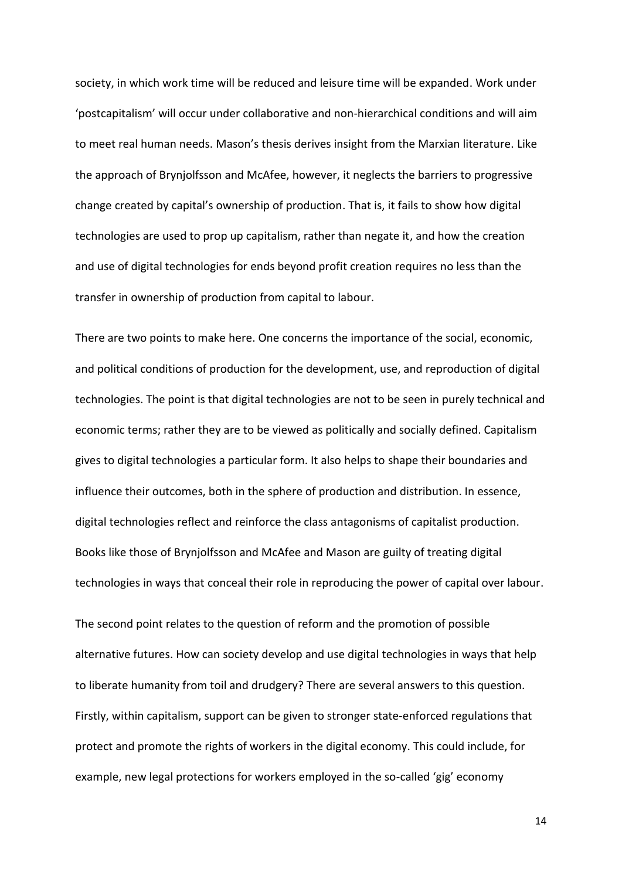society, in which work time will be reduced and leisure time will be expanded. Work under 'postcapitalism' will occur under collaborative and non-hierarchical conditions and will aim to meet real human needs. Mason's thesis derives insight from the Marxian literature. Like the approach of Brynjolfsson and McAfee, however, it neglects the barriers to progressive change created by capital's ownership of production. That is, it fails to show how digital technologies are used to prop up capitalism, rather than negate it, and how the creation and use of digital technologies for ends beyond profit creation requires no less than the transfer in ownership of production from capital to labour.

There are two points to make here. One concerns the importance of the social, economic, and political conditions of production for the development, use, and reproduction of digital technologies. The point is that digital technologies are not to be seen in purely technical and economic terms; rather they are to be viewed as politically and socially defined. Capitalism gives to digital technologies a particular form. It also helps to shape their boundaries and influence their outcomes, both in the sphere of production and distribution. In essence, digital technologies reflect and reinforce the class antagonisms of capitalist production. Books like those of Brynjolfsson and McAfee and Mason are guilty of treating digital technologies in ways that conceal their role in reproducing the power of capital over labour.

The second point relates to the question of reform and the promotion of possible alternative futures. How can society develop and use digital technologies in ways that help to liberate humanity from toil and drudgery? There are several answers to this question. Firstly, within capitalism, support can be given to stronger state-enforced regulations that protect and promote the rights of workers in the digital economy. This could include, for example, new legal protections for workers employed in the so-called 'gig' economy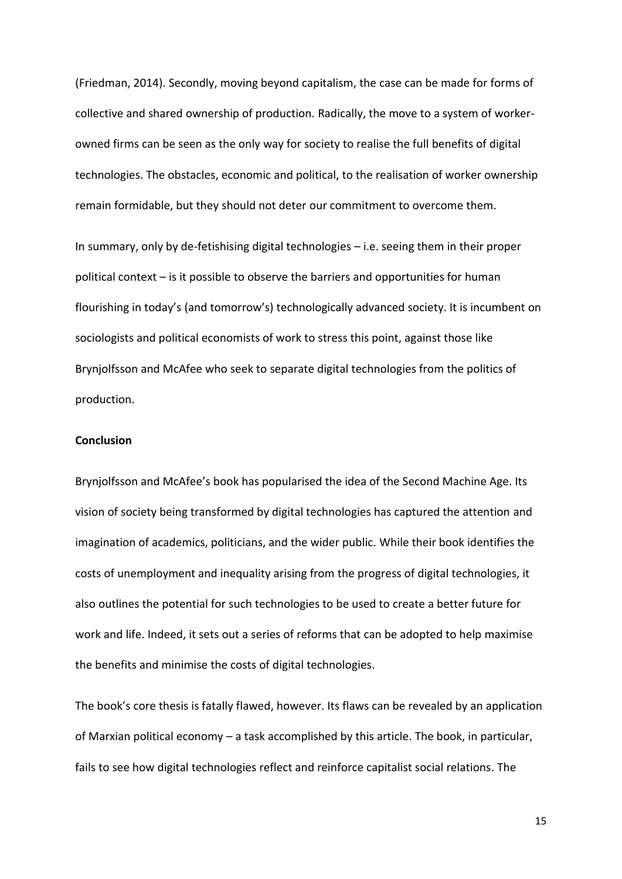(Friedman, 2014). Secondly, moving beyond capitalism, the case can be made for forms of collective and shared ownership of production. Radically, the move to a system of workerowned firms can be seen as the only way for society to realise the full benefits of digital technologies. The obstacles, economic and political, to the realisation of worker ownership remain formidable, but they should not deter our commitment to overcome them.

In summary, only by de-fetishising digital technologies  $-$  i.e. seeing them in their proper political context – is it possible to observe the barriers and opportunities for human flourishing in today's (and tomorrow's) technologically advanced society. It is incumbent on sociologists and political economists of work to stress this point, against those like Brynjolfsson and McAfee who seek to separate digital technologies from the politics of production.

# **Conclusion**

Brynjolfsson and McAfee's book has popularised the idea of the Second Machine Age. Its vision of society being transformed by digital technologies has captured the attention and imagination of academics, politicians, and the wider public. While their book identifies the costs of unemployment and inequality arising from the progress of digital technologies, it also outlines the potential for such technologies to be used to create a better future for work and life. Indeed, it sets out a series of reforms that can be adopted to help maximise the benefits and minimise the costs of digital technologies.

The book's core thesis is fatally flawed, however. Its flaws can be revealed by an application of Marxian political economy  $-$  a task accomplished by this article. The book, in particular, fails to see how digital technologies reflect and reinforce capitalist social relations. The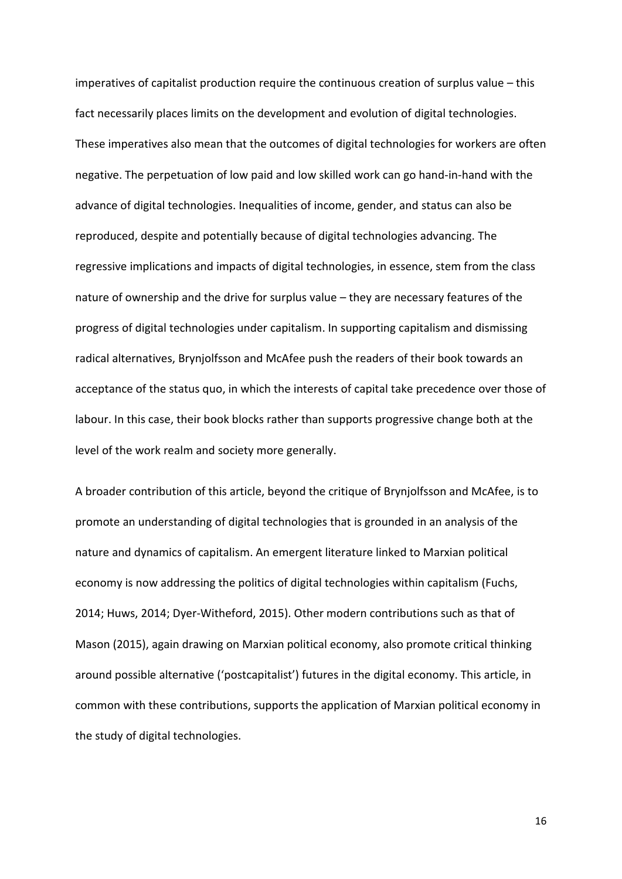imperatives of capitalist production require the continuous creation of surplus value  $-$  this fact necessarily places limits on the development and evolution of digital technologies. These imperatives also mean that the outcomes of digital technologies for workers are often negative. The perpetuation of low paid and low skilled work can go hand-in-hand with the advance of digital technologies. Inequalities of income, gender, and status can also be reproduced, despite and potentially because of digital technologies advancing. The regressive implications and impacts of digital technologies, in essence, stem from the class nature of ownership and the drive for surplus value – they are necessary features of the progress of digital technologies under capitalism. In supporting capitalism and dismissing radical alternatives, Brynjolfsson and McAfee push the readers of their book towards an acceptance of the status quo, in which the interests of capital take precedence over those of labour. In this case, their book blocks rather than supports progressive change both at the level of the work realm and society more generally.

A broader contribution of this article, beyond the critique of Brynjolfsson and McAfee, is to promote an understanding of digital technologies that is grounded in an analysis of the nature and dynamics of capitalism. An emergent literature linked to Marxian political economy is now addressing the politics of digital technologies within capitalism (Fuchs, 2014; Huws, 2014; Dyer-Witheford, 2015). Other modern contributions such as that of Mason (2015), again drawing on Marxian political economy, also promote critical thinking around possible alternative ('postcapitalist') futures in the digital economy. This article, in common with these contributions, supports the application of Marxian political economy in the study of digital technologies.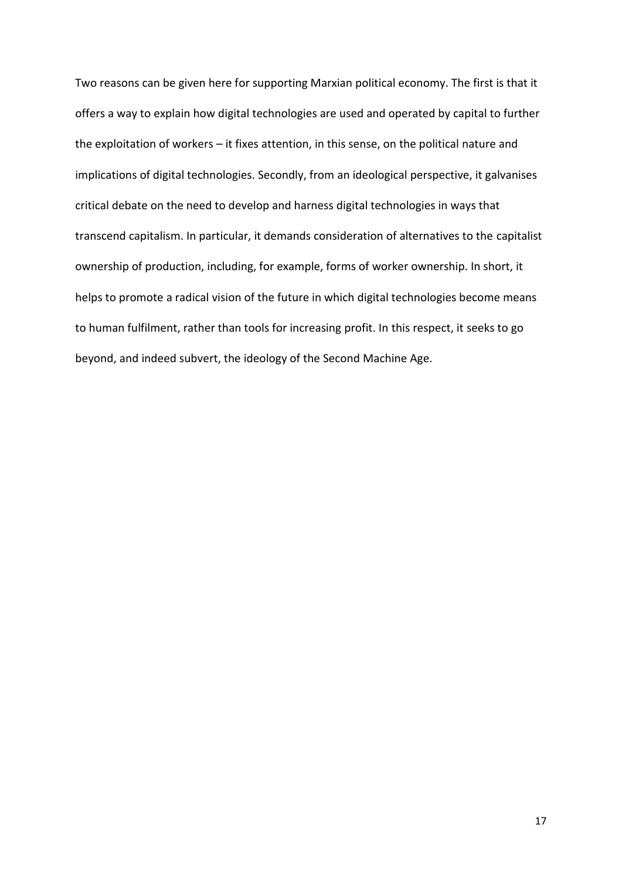Two reasons can be given here for supporting Marxian political economy. The first is that it offers a way to explain how digital technologies are used and operated by capital to further the exploitation of workers  $-$  it fixes attention, in this sense, on the political nature and implications of digital technologies. Secondly, from an ideological perspective, it galvanises critical debate on the need to develop and harness digital technologies in ways that transcend capitalism. In particular, it demands consideration of alternatives to the capitalist ownership of production, including, for example, forms of worker ownership. In short, it helps to promote a radical vision of the future in which digital technologies become means to human fulfilment, rather than tools for increasing profit. In this respect, it seeks to go beyond, and indeed subvert, the ideology of the Second Machine Age.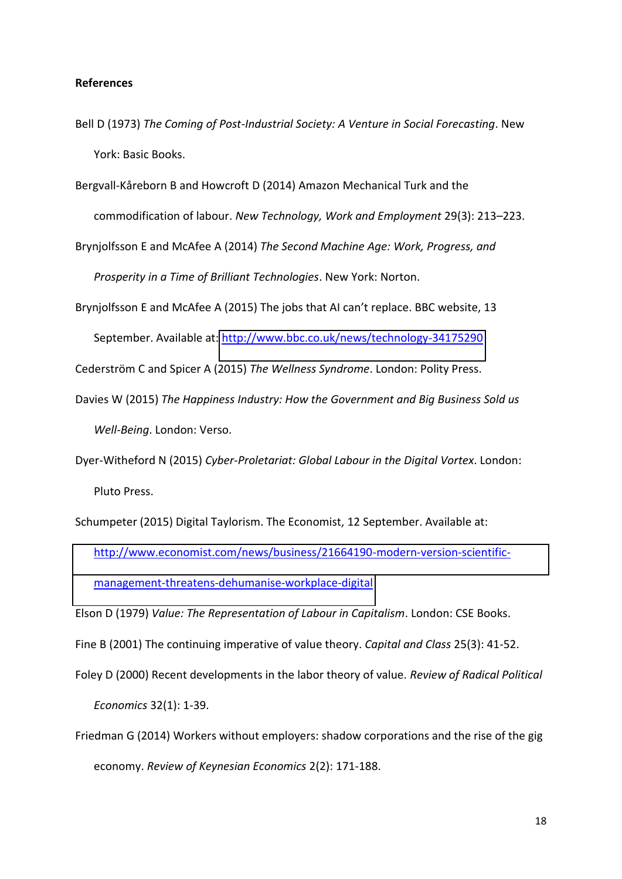# **References**

- Bell D (1973) *The Coming of Post-Industrial Society: A Venture in Social Forecasting*. New York: Basic Books.
- Bergvall-KÂreborn B and Howcroft D (2014) Amazon Mechanical Turk and the commodification of labour. *New Technology, Work and Employment* 29(3): 213–223.
- Brynjolfsson E and McAfee A (2014) *The Second Machine Age: Work, Progress, and Prosperity in a Time of Brilliant Technologies*. New York: Norton.
- Brynjolfsson E and McAfee A (2015) The jobs that AI can't replace. BBC website, 13 September. Available at:<http://www.bbc.co.uk/news/technology-34175290>
- Cederström C and Spicer A (2015) *The Wellness Syndrome*. London: Polity Press.
- Davies W (2015) *The Happiness Industry: How the Government and Big Business Sold us Well-Being*. London: Verso.
- Dyer-Witheford N (2015) *Cyber-Proletariat: Global Labour in the Digital Vortex*. London: Pluto Press.
- Schumpeter (2015) Digital Taylorism. The Economist, 12 September. Available at: [http://www.economist.com/news/business/21664190-modern-version-scientific](http://www.economist.com/news/business/21664190-modern-version-scientific-management-threatens-dehumanise-workplace-digital)[management-threatens-dehumanise-workplace-digital](http://www.economist.com/news/business/21664190-modern-version-scientific-management-threatens-dehumanise-workplace-digital)

Elson D (1979) *Value: The Representation of Labour in Capitalism*. London: CSE Books.

- Fine B (2001) The continuing imperative of value theory. *Capital and Class* 25(3): 41-52.
- Foley D (2000) Recent developments in the labor theory of value. *Review of Radical Political Economics* 32(1): 1-39.
- Friedman G (2014) Workers without employers: shadow corporations and the rise of the gig economy. *Review of Keynesian Economics* 2(2): 171-188.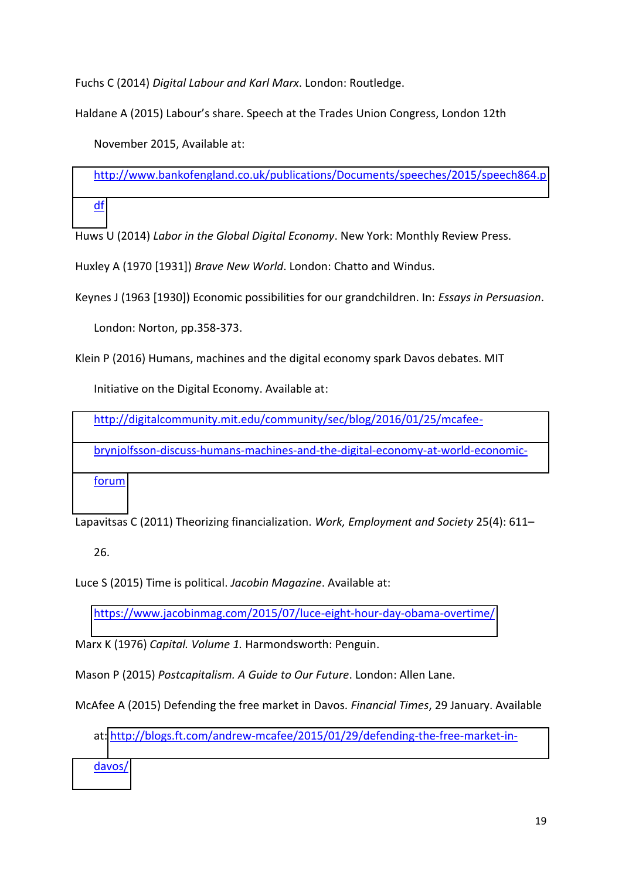Fuchs C (2014) *Digital Labour and Karl Marx*. London: Routledge.

Haldane A (2015) Labour's share. Speech at the Trades Union Congress, London 12th November 2015, Available at:

[http://www.bankofengland.co.uk/publications/Documents/speeches/2015/speech864.p](http://www.bankofengland.co.uk/publications/Documents/speeches/2015/speech864.pdf)

[df](http://www.bankofengland.co.uk/publications/Documents/speeches/2015/speech864.pdf)

Huws U (2014) *Labor in the Global Digital Economy*. New York: Monthly Review Press.

Huxley A (1970 [1931]) *Brave New World*. London: Chatto and Windus.

- Keynes J (1963 [1930]) Economic possibilities for our grandchildren. In: *Essays in Persuasion*. London: Norton, pp.358-373.
- Klein P (2016) Humans, machines and the digital economy spark Davos debates. MIT Initiative on the Digital Economy. Available at:

[http://digitalcommunity.mit.edu/community/sec/blog/2016/01/25/mcafee-](http://digitalcommunity.mit.edu/community/sec/blog/2016/01/25/mcafee-brynjolfsson-discuss-humans-machines-and-the-digital-economy-at-world-economic-forum)

[brynjolfsson-discuss-humans-machines-and-the-digital-economy-at-world-economic-](http://digitalcommunity.mit.edu/community/sec/blog/2016/01/25/mcafee-brynjolfsson-discuss-humans-machines-and-the-digital-economy-at-world-economic-forum)

[forum](http://digitalcommunity.mit.edu/community/sec/blog/2016/01/25/mcafee-brynjolfsson-discuss-humans-machines-and-the-digital-economy-at-world-economic-forum)

Lapavitsas C (2011) Theorizing financialization. Work, Employment and Society 25(4): 611-26.

Luce S (2015) Time is political. *Jacobin Magazine*. Available at:

<https://www.jacobinmag.com/2015/07/luce-eight-hour-day-obama-overtime/>

Marx K (1976) *Capital. Volume 1.* Harmondsworth: Penguin.

Mason P (2015) *Postcapitalism. A Guide to Our Future*. London: Allen Lane.

McAfee A (2015) Defending the free market in Davos. *Financial Times*, 29 January. Available at: [http://blogs.ft.com/andrew-mcafee/2015/01/29/defending-the-free-market-in-](http://blogs.ft.com/andrew-mcafee/2015/01/29/defending-the-free-market-in-davos/)

[davos/](http://blogs.ft.com/andrew-mcafee/2015/01/29/defending-the-free-market-in-davos/)